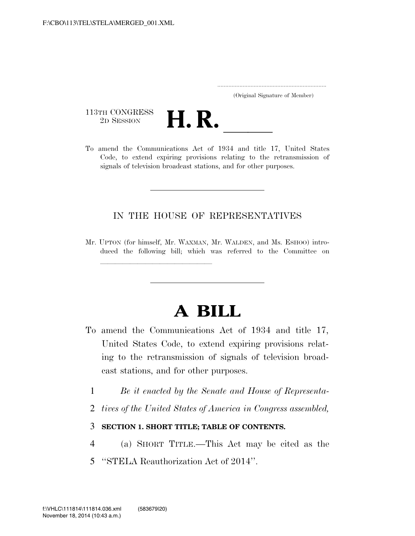..................................................................... (Original Signature of Member)

113TH CONGRESS<br>2D SESSION



113TH CONGRESS<br>
2D SESSION<br>
To amend the Communications Act of 1934 and title 17, United States Code, to extend expiring provisions relating to the retransmission of signals of television broadcast stations, and for other purposes.

### IN THE HOUSE OF REPRESENTATIVES

Mr. UPTON (for himself, Mr. WAXMAN, Mr. WALDEN, and Ms. ESHOO) introduced the following bill; which was referred to the Committee on

llland and a state of the state of the state of the state of the state of the state of the state of the state o<br>State of the state of the state of the state of the state of the state of the state of the state of the state

# **A BILL**

- To amend the Communications Act of 1934 and title 17, United States Code, to extend expiring provisions relating to the retransmission of signals of television broadcast stations, and for other purposes.
	- 1 *Be it enacted by the Senate and House of Representa-*
	- 2 *tives of the United States of America in Congress assembled,*

### 3 **SECTION 1. SHORT TITLE; TABLE OF CONTENTS.**

- 4 (a) SHORT TITLE.—This Act may be cited as the
- 5 ''STELA Reauthorization Act of 2014''.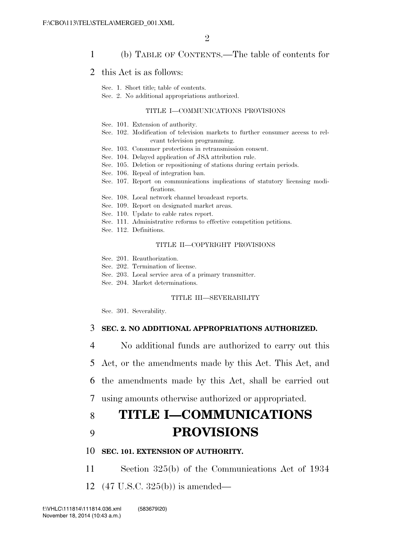### 1 (b) TABLE OF CONTENTS.—The table of contents for

#### 2 this Act is as follows:

Sec. 1. Short title; table of contents.

Sec. 2. No additional appropriations authorized.

#### TITLE I—COMMUNICATIONS PROVISIONS

- Sec. 101. Extension of authority.
- Sec. 102. Modification of television markets to further consumer access to relevant television programming.
- Sec. 103. Consumer protections in retransmission consent.
- Sec. 104. Delayed application of JSA attribution rule.
- Sec. 105. Deletion or repositioning of stations during certain periods.
- Sec. 106. Repeal of integration ban.
- Sec. 107. Report on communications implications of statutory licensing modifications.
- Sec. 108. Local network channel broadcast reports.
- Sec. 109. Report on designated market areas.
- Sec. 110. Update to cable rates report.
- Sec. 111. Administrative reforms to effective competition petitions.
- Sec. 112. Definitions.

#### TITLE II—COPYRIGHT PROVISIONS

- Sec. 201. Reauthorization.
- Sec. 202. Termination of license.
- Sec. 203. Local service area of a primary transmitter.
- Sec. 204. Market determinations.

#### TITLE III—SEVERABILITY

Sec. 301. Severability.

#### 3 **SEC. 2. NO ADDITIONAL APPROPRIATIONS AUTHORIZED.**

- 4 No additional funds are authorized to carry out this
- 5 Act, or the amendments made by this Act. This Act, and
- 6 the amendments made by this Act, shall be carried out
- 7 using amounts otherwise authorized or appropriated.

## 8 **TITLE I—COMMUNICATIONS**  9 **PROVISIONS**

#### 10 **SEC. 101. EXTENSION OF AUTHORITY.**

- 11 Section 325(b) of the Communications Act of 1934
- 12 (47 U.S.C. 325(b)) is amended—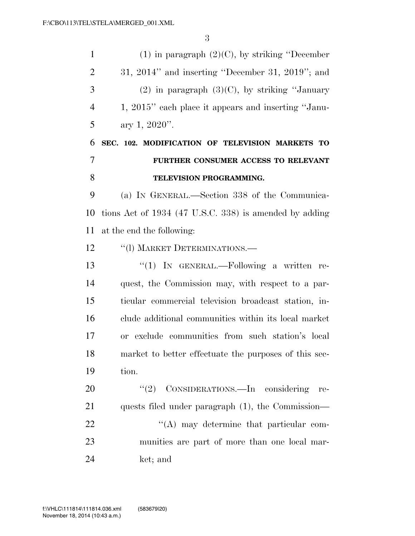1 (1) in paragraph  $(2)(C)$ , by striking "December 31, 2014'' and inserting ''December 31, 2019''; and 3 (2) in paragraph  $(3)(C)$ , by striking "January 1, 2015'' each place it appears and inserting ''Janu-5 ary 1, ". **SEC. 102. MODIFICATION OF TELEVISION MARKETS TO FURTHER CONSUMER ACCESS TO RELEVANT TELEVISION PROGRAMMING.**  (a) IN GENERAL.—Section 338 of the Communica- tions Act of 1934 (47 U.S.C. 338) is amended by adding at the end the following: 12 "(I) MARKET DETERMINATIONS.— ''(1) IN GENERAL.—Following a written re- quest, the Commission may, with respect to a par- ticular commercial television broadcast station, in- clude additional communities within its local market or exclude communities from such station's local market to better effectuate the purposes of this sec- tion. 20 "(2) CONSIDERATIONS.—In considering re- quests filed under paragraph (1), the Commission—  $\mathcal{L}(A)$  may determine that particular com- munities are part of more than one local mar-ket; and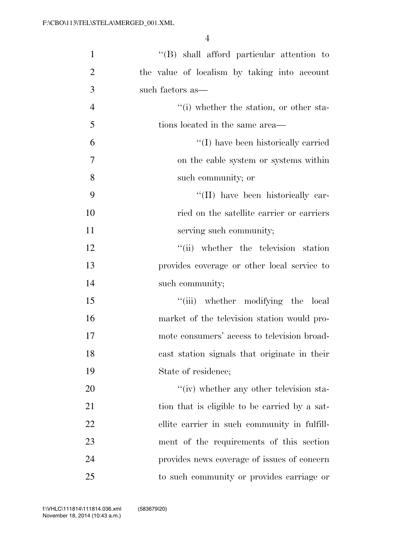| $\mathbf{1}$   | $\lq\lq$ shall afford particular attention to |
|----------------|-----------------------------------------------|
| $\overline{2}$ | the value of localism by taking into account  |
| 3              | such factors as—                              |
| $\overline{4}$ | "(i) whether the station, or other sta-       |
| 5              | tions located in the same area—               |
| 6              | "(I) have been historically carried           |
| $\tau$         | on the cable system or systems within         |
| 8              | such community; or                            |
| 9              | "(II) have been historically car-             |
| 10             | ried on the satellite carrier or carriers     |
| 11             | serving such community;                       |
| 12             | "(ii) whether the television station          |
| 13             | provides coverage or other local service to   |
| 14             | such community;                               |
| 15             | "(iii) whether modifying the local            |
| 16             | market of the television station would pro-   |
| 17             | mote consumers' access to television broad-   |
| 18             | cast station signals that originate in their  |
| 19             | State of residence;                           |
| 20             | "(iv) whether any other television sta-       |
| 21             | tion that is eligible to be carried by a sat- |
| 22             | ellite carrier in such community in fulfill-  |
| 23             | ment of the requirements of this section      |
| 24             | provides news coverage of issues of concern   |
| 25             | to such community or provides carriage or     |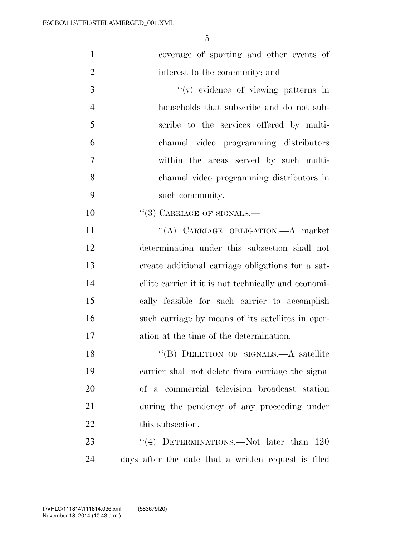| $\mathbf{1}$   | coverage of sporting and other events of             |
|----------------|------------------------------------------------------|
| $\overline{2}$ | interest to the community; and                       |
| 3              | $f'(v)$ evidence of viewing patterns in              |
| $\overline{4}$ | households that subscribe and do not sub-            |
| 5              | scribe to the services offered by multi-             |
| 6              | channel video programming distributors               |
| $\overline{7}$ | within the areas served by such multi-               |
| 8              | channel video programming distributors in            |
| 9              | such community.                                      |
| 10             | $``(3)$ CARRIAGE OF SIGNALS.—                        |
| 11             | "(A) CARRIAGE OBLIGATION. A market                   |
| 12             | determination under this subsection shall not        |
| 13             | create additional carriage obligations for a sat-    |
| 14             | ellite carrier if it is not technically and economi- |
| 15             | cally feasible for such carrier to accomplish        |
| 16             | such carriage by means of its satellites in oper-    |
| 17             | ation at the time of the determination.              |
| 18             | "(B) DELETION OF SIGNALS.—A satellite                |
| 19             | carrier shall not delete from carriage the signal    |
| 20             | of a commercial television broadcast station         |
| 21             | during the pendency of any proceeding under          |
| 22             | this subsection.                                     |
| 23             | "(4) DETERMINATIONS.—Not later than $120$            |
| 24             | days after the date that a written request is filed  |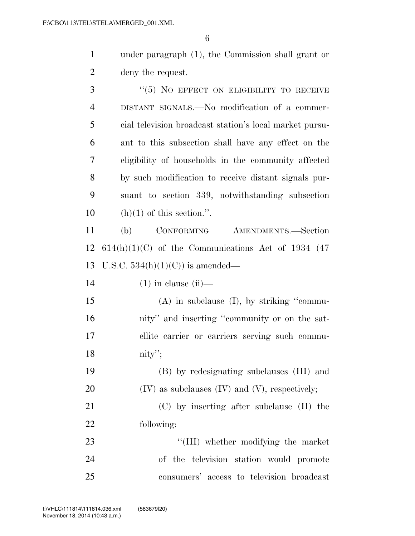under paragraph (1), the Commission shall grant or deny the request.

3 "(5) NO EFFECT ON ELIGIBILITY TO RECEIVE DISTANT SIGNALS.—No modification of a commer- cial television broadcast station's local market pursu- ant to this subsection shall have any effect on the eligibility of households in the community affected by such modification to receive distant signals pur- suant to section 339, notwithstanding subsection 10 (h)(1) of this section.". (b) CONFORMING AMENDMENTS.—Section 12 614(h)(1)(C) of the Communications Act of 1934 (47) U.S.C. 534(h)(1)(C)) is amended— (1) in clause (ii)— (A) in subclause (I), by striking ''commu- nity'' and inserting ''community or on the sat- ellite carrier or carriers serving such commu- nity''; (B) by redesignating subclauses (III) and (IV) as subclauses (IV) and (V), respectively; (C) by inserting after subclause (II) the following:  $\frac{1}{2}$  TIII) whether modifying the market of the television station would promote consumers' access to television broadcast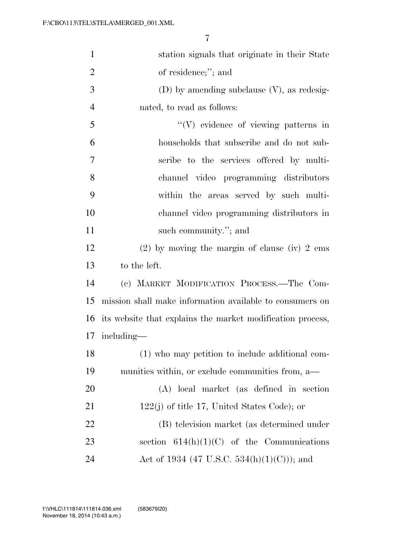| $\mathbf{1}$   | station signals that originate in their State              |
|----------------|------------------------------------------------------------|
| $\overline{2}$ | of residence;"; and                                        |
| 3              | $(D)$ by amending subclause $(V)$ , as redesig-            |
| $\overline{4}$ | nated, to read as follows:                                 |
| 5              | $\lq\lq(V)$ evidence of viewing patterns in                |
| 6              | households that subscribe and do not sub-                  |
| $\overline{7}$ | scribe to the services offered by multi-                   |
| 8              | channel video programming distributors                     |
| 9              | within the areas served by such multi-                     |
| 10             | channel video programming distributors in                  |
| 11             | such community."; and                                      |
| 12             | $(2)$ by moving the margin of clause (iv) 2 ems            |
| 13             | to the left.                                               |
| 14             | (c) MARKET MODIFICATION PROCESS.—The Com-                  |
| 15             | mission shall make information available to consumers on   |
| 16             | its website that explains the market modification process, |
| 17             | including—                                                 |
| 18             | (1) who may petition to include additional com-            |
| 19             | munities within, or exclude communities from, a—           |
| 20             | (A) local market (as defined in section                    |
| 21             | $122(j)$ of title 17, United States Code); or              |
| <u>22</u>      | (B) television market (as determined under                 |
| 23             | section $614(h)(1)(C)$ of the Communications               |
| 24             | Act of 1934 (47 U.S.C. 534(h)(1)(C))); and                 |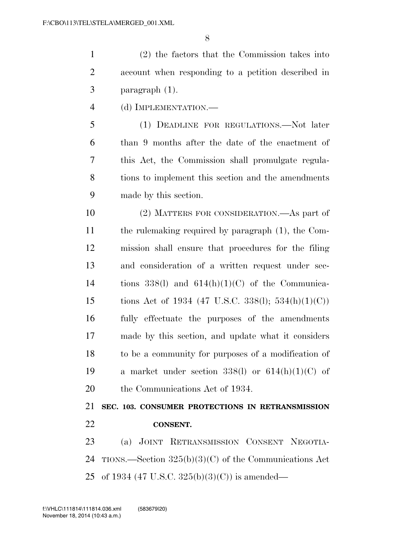(2) the factors that the Commission takes into account when responding to a petition described in paragraph (1).

(d) IMPLEMENTATION.—

 (1) DEADLINE FOR REGULATIONS.—Not later than 9 months after the date of the enactment of this Act, the Commission shall promulgate regula- tions to implement this section and the amendments made by this section.

 (2) MATTERS FOR CONSIDERATION.—As part of the rulemaking required by paragraph (1), the Com- mission shall ensure that procedures for the filing and consideration of a written request under sec-14 tions  $338(1)$  and  $614(h)(1)(C)$  of the Communica-15 tions Act of 1934 (47 U.S.C. 338(l);  $534(h)(1)(C)$ ) fully effectuate the purposes of the amendments made by this section, and update what it considers to be a community for purposes of a modification of 19 a market under section  $338(1)$  or  $614(h)(1)(C)$  of the Communications Act of 1934.

 **SEC. 103. CONSUMER PROTECTIONS IN RETRANSMISSION CONSENT.** 

 (a) JOINT RETRANSMISSION CONSENT NEGOTIA- TIONS.—Section 325(b)(3)(C) of the Communications Act of 1934 (47 U.S.C. 325(b)(3)(C)) is amended—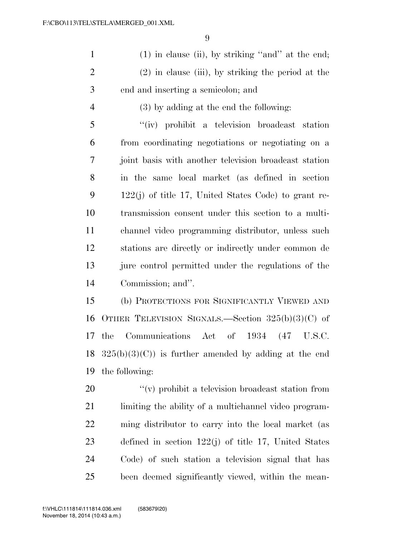(1) in clause (ii), by striking ''and'' at the end; (2) in clause (iii), by striking the period at the end and inserting a semicolon; and

(3) by adding at the end the following:

 ''(iv) prohibit a television broadcast station from coordinating negotiations or negotiating on a joint basis with another television broadcast station in the same local market (as defined in section 122(j) of title 17, United States Code) to grant re- transmission consent under this section to a multi- channel video programming distributor, unless such stations are directly or indirectly under common de 13 jure control permitted under the regulations of the Commission; and''.

 (b) PROTECTIONS FOR SIGNIFICANTLY VIEWED AND OTHER TELEVISION SIGNALS.—Section 325(b)(3)(C) of the Communications Act of 1934 (47 U.S.C.  $325(b)(3)(C)$  is further amended by adding at the end the following:

  $\qquad$   $\qquad$   $\qquad$   $\qquad$   $\qquad$   $\qquad$   $\qquad$   $\qquad$   $\qquad$   $\qquad$   $\qquad$   $\qquad$   $\qquad$   $\qquad$   $\qquad$   $\qquad$   $\qquad$   $\qquad$   $\qquad$   $\qquad$   $\qquad$   $\qquad$   $\qquad$   $\qquad$   $\qquad$   $\qquad$   $\qquad$   $\qquad$   $\qquad$   $\qquad$   $\qquad$   $\qquad$   $\qquad$   $\qquad$   $\qquad$   $\qquad$  limiting the ability of a multichannel video program- ming distributor to carry into the local market (as defined in section 122(j) of title 17, United States Code) of such station a television signal that has been deemed significantly viewed, within the mean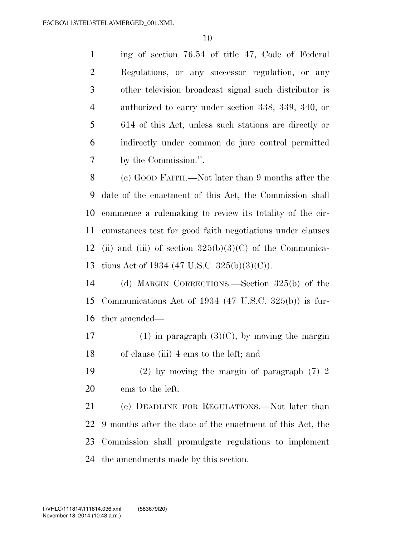ing of section 76.54 of title 47, Code of Federal Regulations, or any successor regulation, or any other television broadcast signal such distributor is authorized to carry under section 338, 339, 340, or 614 of this Act, unless such stations are directly or indirectly under common de jure control permitted by the Commission.''.

 (c) GOOD FAITH.—Not later than 9 months after the date of the enactment of this Act, the Commission shall commence a rulemaking to review its totality of the cir- cumstances test for good faith negotiations under clauses 12 (ii) and (iii) of section  $325(b)(3)(C)$  of the Communica-tions Act of 1934 (47 U.S.C. 325(b)(3)(C)).

 (d) MARGIN CORRECTIONS.—Section 325(b) of the Communications Act of 1934 (47 U.S.C. 325(b)) is fur-ther amended—

17 (1) in paragraph  $(3)(C)$ , by moving the margin of clause (iii) 4 ems to the left; and

 (2) by moving the margin of paragraph (7) 2 ems to the left.

 (e) DEADLINE FOR REGULATIONS.—Not later than 9 months after the date of the enactment of this Act, the Commission shall promulgate regulations to implement the amendments made by this section.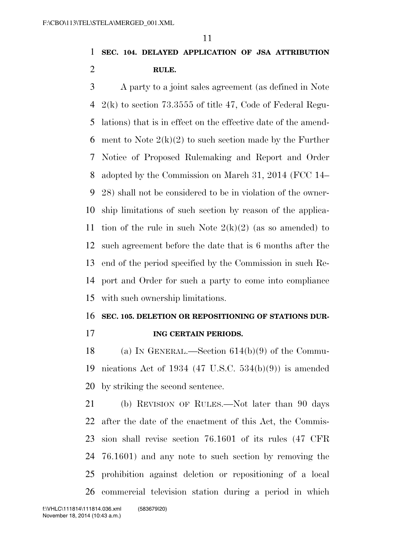## **SEC. 104. DELAYED APPLICATION OF JSA ATTRIBUTION RULE.**

 A party to a joint sales agreement (as defined in Note 2(k) to section 73.3555 of title 47, Code of Federal Regu- lations) that is in effect on the effective date of the amend-6 ment to Note  $2(k)(2)$  to such section made by the Further Notice of Proposed Rulemaking and Report and Order adopted by the Commission on March 31, 2014 (FCC 14– 28) shall not be considered to be in violation of the owner- ship limitations of such section by reason of the applica-11 tion of the rule in such Note  $2(k)(2)$  (as so amended) to such agreement before the date that is 6 months after the end of the period specified by the Commission in such Re- port and Order for such a party to come into compliance with such ownership limitations.

### **SEC. 105. DELETION OR REPOSITIONING OF STATIONS DUR-**

#### **ING CERTAIN PERIODS.**

 (a) IN GENERAL.—Section 614(b)(9) of the Commu- nications Act of 1934 (47 U.S.C. 534(b)(9)) is amended by striking the second sentence.

 (b) REVISION OF RULES.—Not later than 90 days after the date of the enactment of this Act, the Commis- sion shall revise section 76.1601 of its rules (47 CFR 76.1601) and any note to such section by removing the prohibition against deletion or repositioning of a local commercial television station during a period in which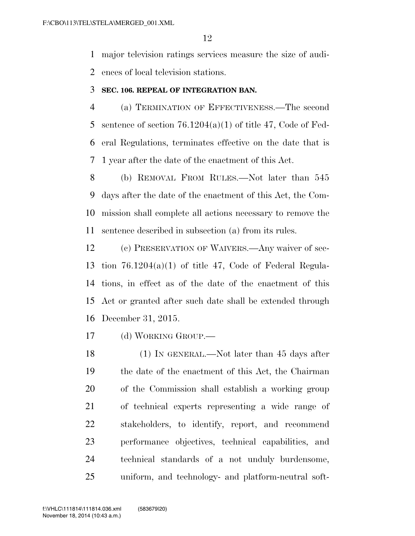major television ratings services measure the size of audi-

ences of local television stations.

### **SEC. 106. REPEAL OF INTEGRATION BAN.**

 (a) TERMINATION OF EFFECTIVENESS.—The second 5 sentence of section  $76.1204(a)(1)$  of title 47, Code of Fed- eral Regulations, terminates effective on the date that is 1 year after the date of the enactment of this Act.

 (b) REMOVAL FROM RULES.—Not later than 545 days after the date of the enactment of this Act, the Com- mission shall complete all actions necessary to remove the sentence described in subsection (a) from its rules.

 (c) PRESERVATION OF WAIVERS.—Any waiver of sec- tion 76.1204(a)(1) of title 47, Code of Federal Regula- tions, in effect as of the date of the enactment of this Act or granted after such date shall be extended through December 31, 2015.

(d) WORKING GROUP.—

18 (1) IN GENERAL.—Not later than 45 days after the date of the enactment of this Act, the Chairman of the Commission shall establish a working group of technical experts representing a wide range of stakeholders, to identify, report, and recommend performance objectives, technical capabilities, and technical standards of a not unduly burdensome, uniform, and technology- and platform-neutral soft-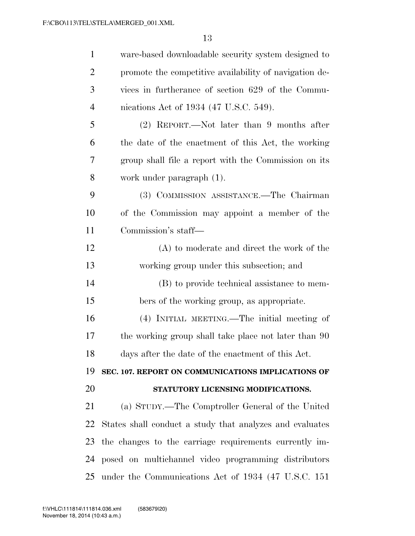| $\mathbf{1}$   | ware-based downloadable security system designed to      |
|----------------|----------------------------------------------------------|
| 2              | promote the competitive availability of navigation de-   |
| 3              | vices in furtherance of section 629 of the Commu-        |
| $\overline{4}$ | nications Act of 1934 (47 U.S.C. 549).                   |
| 5              | (2) REPORT.—Not later than 9 months after                |
| 6              | the date of the enactment of this Act, the working       |
| 7              | group shall file a report with the Commission on its     |
| 8              | work under paragraph (1).                                |
| 9              | (3) COMMISSION ASSISTANCE.—The Chairman                  |
| 10             | of the Commission may appoint a member of the            |
| 11             | Commission's staff-                                      |
| 12             | (A) to moderate and direct the work of the               |
| 13             | working group under this subsection; and                 |
| 14             | (B) to provide technical assistance to mem-              |
| 15             | bers of the working group, as appropriate.               |
| 16             | (4) INITIAL MEETING.—The initial meeting of              |
| 17             | the working group shall take place not later than 90     |
| 18             | days after the date of the enactment of this Act.        |
| 19             | SEC. 107. REPORT ON COMMUNICATIONS IMPLICATIONS OF       |
| 20             | STATUTORY LICENSING MODIFICATIONS.                       |
| 21             | (a) STUDY.—The Comptroller General of the United         |
| 22             | States shall conduct a study that analyzes and evaluates |
| 23             | the changes to the carriage requirements currently im-   |
| 24             | posed on multichannel video programming distributors     |
| 25             | under the Communications Act of 1934 (47 U.S.C. 151)     |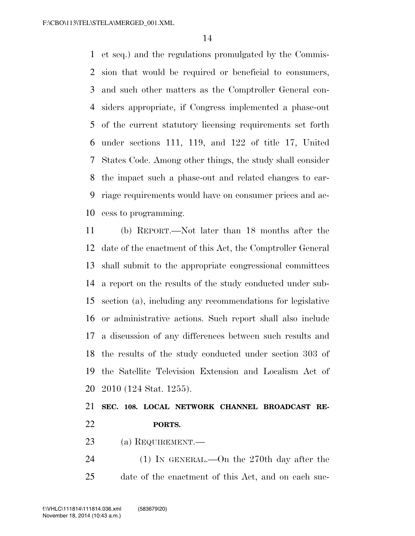et seq.) and the regulations promulgated by the Commis- sion that would be required or beneficial to consumers, and such other matters as the Comptroller General con- siders appropriate, if Congress implemented a phase-out of the current statutory licensing requirements set forth under sections 111, 119, and 122 of title 17, United States Code. Among other things, the study shall consider the impact such a phase-out and related changes to car- riage requirements would have on consumer prices and ac-cess to programming.

 (b) REPORT.—Not later than 18 months after the date of the enactment of this Act, the Comptroller General shall submit to the appropriate congressional committees a report on the results of the study conducted under sub- section (a), including any recommendations for legislative or administrative actions. Such report shall also include a discussion of any differences between such results and the results of the study conducted under section 303 of the Satellite Television Extension and Localism Act of 2010 (124 Stat. 1255).

## **SEC. 108. LOCAL NETWORK CHANNEL BROADCAST RE-PORTS.**

- (a) REQUIREMENT.—
- (1) IN GENERAL.—On the 270th day after the date of the enactment of this Act, and on each suc-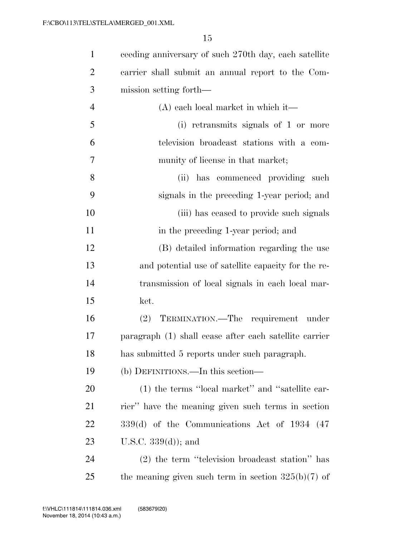| $\mathbf{1}$   | ceeding anniversary of such 270th day, each satellite  |
|----------------|--------------------------------------------------------|
| $\overline{2}$ | carrier shall submit an annual report to the Com-      |
| 3              | mission setting forth—                                 |
| 4              | $(A)$ each local market in which it—                   |
| 5              | (i) retransmits signals of 1 or more                   |
| 6              | television broadcast stations with a com-              |
| 7              | munity of license in that market;                      |
| 8              | (ii) has commenced providing<br>such                   |
| 9              | signals in the preceding 1-year period; and            |
| 10             | (iii) has ceased to provide such signals               |
| 11             | in the preceding 1-year period; and                    |
| 12             | (B) detailed information regarding the use             |
| 13             | and potential use of satellite capacity for the re-    |
| 14             | transmission of local signals in each local mar-       |
| 15             | ket.                                                   |
| 16             | TERMINATION.—The requirement under<br>(2)              |
| 17             | paragraph (1) shall cease after each satellite carrier |
| 18             | has submitted 5 reports under such paragraph.          |
| 19             | (b) DEFINITIONS.—In this section—                      |
| 20             | (1) the terms "local market" and "satellite car-       |
| 21             | rier" have the meaning given such terms in section     |
| 22             | $339(d)$ of the Communications Act of 1934 (47)        |
| 23             | U.S.C. $339(d)$ ; and                                  |
| 24             | (2) the term "television broadcast station" has        |
| 25             | the meaning given such term in section $325(b)(7)$ of  |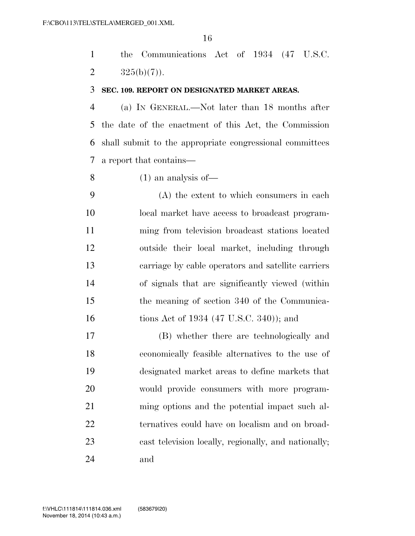the Communications Act of 1934 (47 U.S.C. 2  $325(b)(7)$ .

#### **SEC. 109. REPORT ON DESIGNATED MARKET AREAS.**

 (a) IN GENERAL.—Not later than 18 months after the date of the enactment of this Act, the Commission shall submit to the appropriate congressional committees a report that contains—

(1) an analysis of—

 (A) the extent to which consumers in each local market have access to broadcast program- ming from television broadcast stations located outside their local market, including through carriage by cable operators and satellite carriers of signals that are significantly viewed (within the meaning of section 340 of the Communica-16 tions Act of 1934 (47 U.S.C. 340)); and

 (B) whether there are technologically and economically feasible alternatives to the use of designated market areas to define markets that would provide consumers with more program- ming options and the potential impact such al- ternatives could have on localism and on broad- cast television locally, regionally, and nationally; and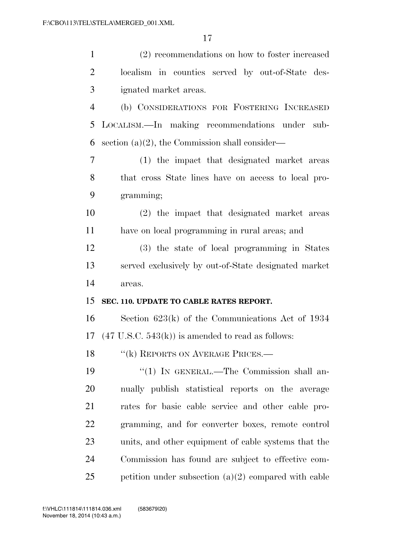| $\mathbf{1}$   | (2) recommendations on how to foster increased                      |
|----------------|---------------------------------------------------------------------|
| $\overline{2}$ | localism in counties served by out-of-State des-                    |
| 3              | ignated market areas.                                               |
| $\overline{4}$ | (b) CONSIDERATIONS FOR FOSTERING INCREASED                          |
| 5              | LOCALISM.—In making recommendations under sub-                      |
| 6              | section $(a)(2)$ , the Commission shall consider—                   |
| $\overline{7}$ | (1) the impact that designated market areas                         |
| 8              | that cross State lines have on access to local pro-                 |
| 9              | gramming;                                                           |
| 10             | (2) the impact that designated market areas                         |
| 11             | have on local programming in rural areas; and                       |
| 12             | (3) the state of local programming in States                        |
| 13             | served exclusively by out-of-State designated market                |
| 14             | areas.                                                              |
| 15             | SEC. 110. UPDATE TO CABLE RATES REPORT.                             |
| 16             | Section $623(k)$ of the Communications Act of 1934                  |
| 17             |                                                                     |
|                | $(47 \text{ U.S.C. } 543(\text{k}))$ is amended to read as follows: |
| 18             | "(k) REPORTS ON AVERAGE PRICES.—                                    |
| 19             | "(1) IN GENERAL.—The Commission shall an-                           |
| 20             | nually publish statistical reports on the average                   |
| 21             | rates for basic cable service and other cable pro-                  |
| 22             | gramming, and for converter boxes, remote control                   |
| 23             | units, and other equipment of cable systems that the                |
| 24             | Commission has found are subject to effective com-                  |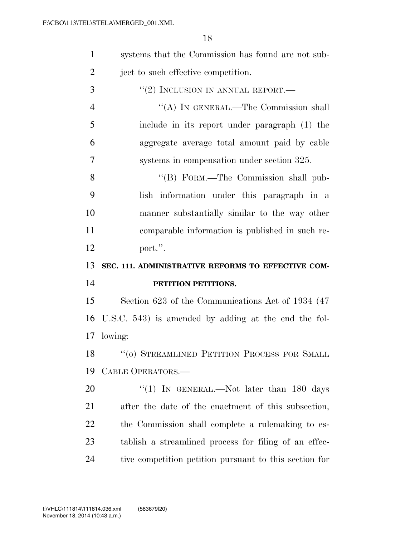| $\mathbf{1}$   | systems that the Commission has found are not sub-     |
|----------------|--------------------------------------------------------|
| $\overline{2}$ | ject to such effective competition.                    |
| 3              | "(2) INCLUSION IN ANNUAL REPORT.—                      |
| $\overline{4}$ | "(A) IN GENERAL.—The Commission shall                  |
| 5              | include in its report under paragraph (1) the          |
| 6              | aggregate average total amount paid by cable           |
| 7              | systems in compensation under section 325.             |
| 8              | "(B) FORM.—The Commission shall pub-                   |
| 9              | lish information under this paragraph in a             |
| 10             | manner substantially similar to the way other          |
| 11             | comparable information is published in such re-        |
| 12             | port.".                                                |
|                |                                                        |
| 13             | SEC. 111. ADMINISTRATIVE REFORMS TO EFFECTIVE COM-     |
| 14             | PETITION PETITIONS.                                    |
| 15             | Section 623 of the Communications Act of 1934 (47      |
| 16             | U.S.C. 543) is amended by adding at the end the fol-   |
|                | 17 lowing:                                             |
|                | 18 "(0) STREAMLINED PETITION PROCESS FOR SMALL         |
| 19             | CABLE OPERATORS.-                                      |
| 20             | "(1) IN GENERAL.—Not later than 180 days               |
| 21             | after the date of the enactment of this subsection,    |
| 22             | the Commission shall complete a rule making to es-     |
| 23             | tablish a streamlined process for filing of an effec-  |
| 24             | tive competition petition pursuant to this section for |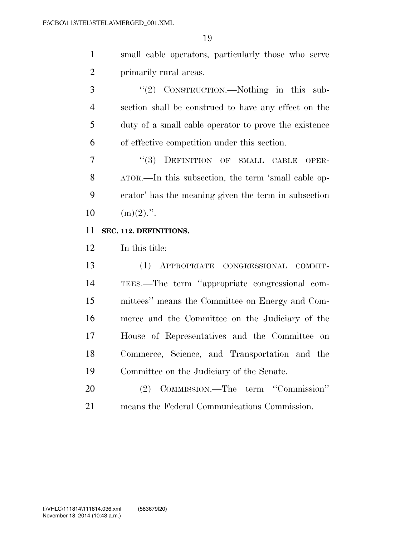small cable operators, particularly those who serve primarily rural areas.

 ''(2) CONSTRUCTION.—Nothing in this sub- section shall be construed to have any effect on the duty of a small cable operator to prove the existence of effective competition under this section.

7 "(3) DEFINITION OF SMALL CABLE OPER- ATOR.—In this subsection, the term 'small cable op- erator' has the meaning given the term in subsection  $10 \quad (\text{m})(2)$ .".

#### **SEC. 112. DEFINITIONS.**

In this title:

 (1) APPROPRIATE CONGRESSIONAL COMMIT- TEES.—The term ''appropriate congressional com- mittees'' means the Committee on Energy and Com- merce and the Committee on the Judiciary of the House of Representatives and the Committee on Commerce, Science, and Transportation and the Committee on the Judiciary of the Senate.

 (2) COMMISSION.—The term ''Commission'' means the Federal Communications Commission.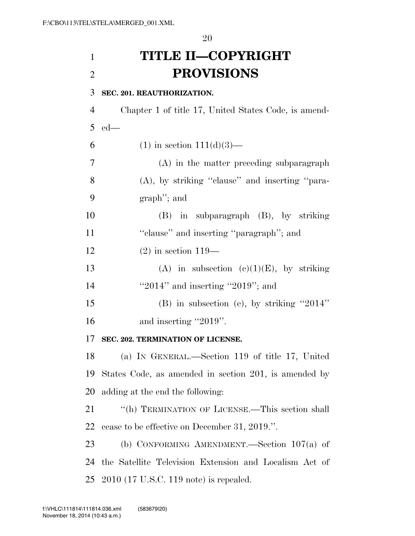# **TITLE II—COPYRIGHT PROVISIONS**

 **SEC. 201. REAUTHORIZATION.**  Chapter 1 of title 17, United States Code, is amend- ed— 6 (1) in section  $111(d)(3)$ — (A) in the matter preceding subparagraph (A), by striking ''clause'' and inserting ''para- graph''; and (B) in subparagraph (B), by striking 11 ''clause'' and inserting "paragraph"; and (2) in section 119— 13 (A) in subsection  $(c)(1)(E)$ , by striking 14 ''2014'' and inserting "2019"; and (B) in subsection (e), by striking ''2014'' 16 and inserting "2019". **SEC. 202. TERMINATION OF LICENSE.**  (a) IN GENERAL.—Section 119 of title 17, United States Code, as amended in section 201, is amended by adding at the end the following: ''(h) TERMINATION OF LICENSE.—This section shall cease to be effective on December 31, 2019.''. (b) CONFORMING AMENDMENT.—Section 107(a) of the Satellite Television Extension and Localism Act of 2010 (17 U.S.C. 119 note) is repealed.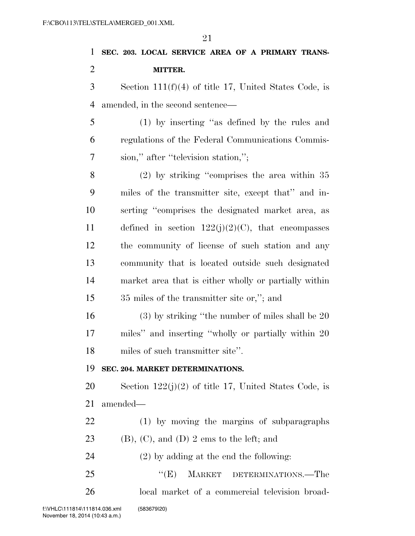# **SEC. 203. LOCAL SERVICE AREA OF A PRIMARY TRANS-MITTER.**

 Section 111(f)(4) of title 17, United States Code, is amended, in the second sentence—

 (1) by inserting ''as defined by the rules and regulations of the Federal Communications Commis-sion,'' after ''television station,'';

 (2) by striking ''comprises the area within 35 miles of the transmitter site, except that'' and in- serting ''comprises the designated market area, as 11 defined in section  $122(j)(2)(C)$ , that encompasses the community of license of such station and any community that is located outside such designated market area that is either wholly or partially within 35 miles of the transmitter site or,''; and

 (3) by striking ''the number of miles shall be 20 miles'' and inserting ''wholly or partially within 20 miles of such transmitter site''.

### **SEC. 204. MARKET DETERMINATIONS.**

20 Section  $122(j)(2)$  of title 17, United States Code, is amended—

 (1) by moving the margins of subparagraphs 23 (B),  $(C)$ , and  $(D)$  2 ems to the left; and

(2) by adding at the end the following:

25 "(E) MARKET DETERMINATIONS.—The local market of a commercial television broad